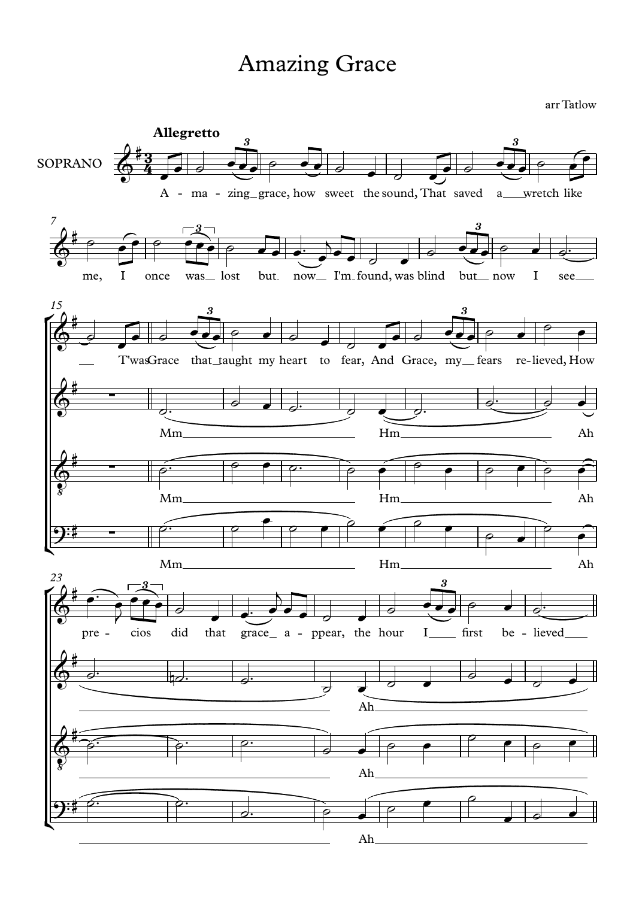## Amazing Grace

arr Tatlow

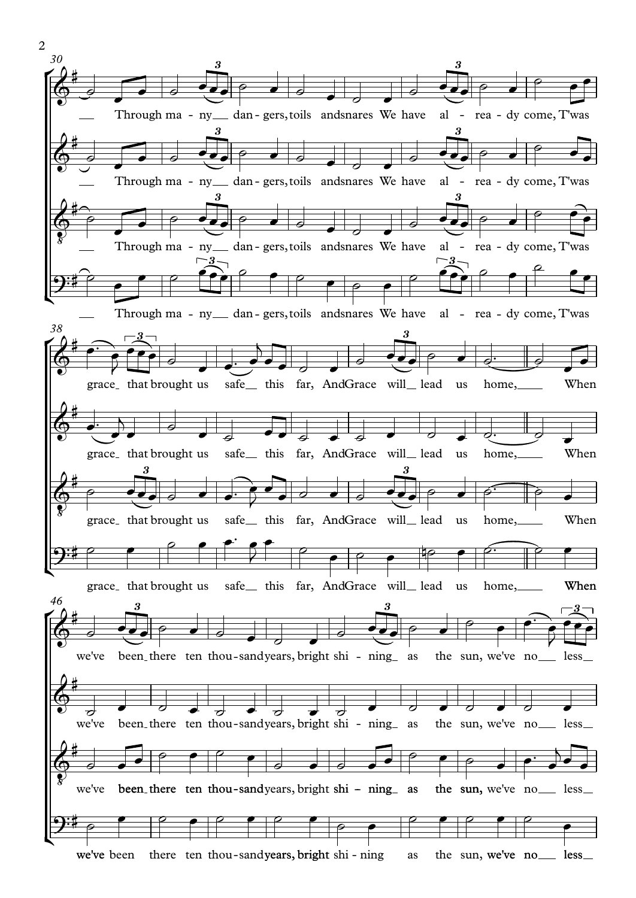